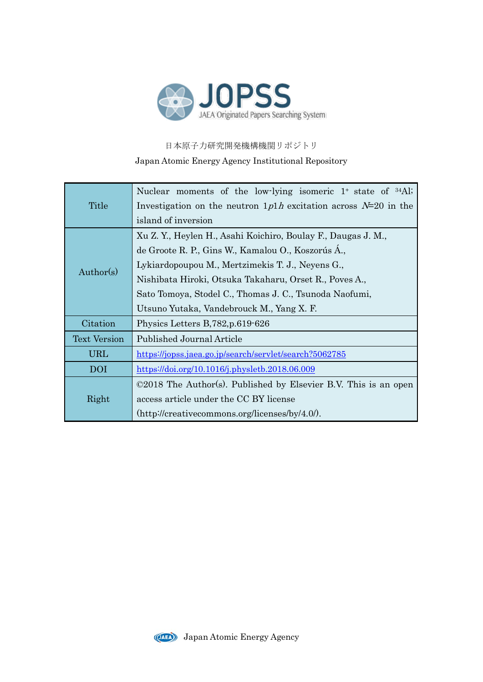

日本原子力研究開発機構機関リポジトリ Japan Atomic Energy Agency Institutional Repository

| Title               | Nuclear moments of the low-lying isomeric 1 <sup>+</sup> state of <sup>34</sup> Al;                                  |  |  |  |  |  |  |  |
|---------------------|----------------------------------------------------------------------------------------------------------------------|--|--|--|--|--|--|--|
|                     | Investigation on the neutron $1p1h$ excitation across $N=20$ in the                                                  |  |  |  |  |  |  |  |
|                     | island of inversion                                                                                                  |  |  |  |  |  |  |  |
|                     | Xu Z. Y., Heylen H., Asahi Koichiro, Boulay F., Daugas J. M.,                                                        |  |  |  |  |  |  |  |
| Author(s)           | de Groote R. P., Gins W., Kamalou O., Koszorús Á.,                                                                   |  |  |  |  |  |  |  |
|                     | Lykiardopoupou M., Mertzimekis T. J., Neyens G.,                                                                     |  |  |  |  |  |  |  |
|                     | Nishibata Hiroki, Otsuka Takaharu, Orset R., Poves A.,                                                               |  |  |  |  |  |  |  |
|                     | Sato Tomoya, Stodel C., Thomas J. C., Tsunoda Naofumi,                                                               |  |  |  |  |  |  |  |
|                     | Utsuno Yutaka, Vandebrouck M., Yang X. F.                                                                            |  |  |  |  |  |  |  |
| Citation            | Physics Letters B, 782, p.619-626                                                                                    |  |  |  |  |  |  |  |
| <b>Text Version</b> | Published Journal Article                                                                                            |  |  |  |  |  |  |  |
| URL                 | https://jopss.jaea.go.jp/search/servlet/search?5062785                                                               |  |  |  |  |  |  |  |
| <b>DOI</b>          | $\frac{\text{https://doi.org/10.1016/j.physletb.2018.06.009}}{$                                                      |  |  |  |  |  |  |  |
|                     | $\odot$ 2018 The Author(s). Published by Elsevier B.V. This is an open                                               |  |  |  |  |  |  |  |
| Right               | access article under the CC BY license                                                                               |  |  |  |  |  |  |  |
|                     | $(\text{http://creativecommons.org/licenses/by/4.0/">\rangle\text{1})(\text{treativecommons.org/}licenses/by/4.0/).$ |  |  |  |  |  |  |  |

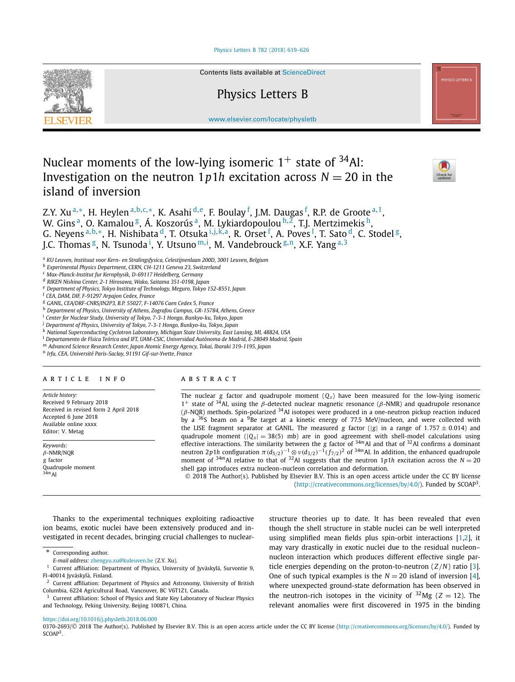### [Physics Letters B 782 \(2018\) 619–626](https://doi.org/10.1016/j.physletb.2018.06.009)



Contents lists available at [ScienceDirect](http://www.ScienceDirect.com/)

# Physics Letters B

[www.elsevier.com/locate/physletb](http://www.elsevier.com/locate/physletb)

# Nuclear moments of the low-lying isomeric  $1^+$  state of  $34$ Al: Investigation on the neutron  $1p1h$  excitation across  $N = 20$  in the island of inversion



Z.Y. Xu <sup>a</sup>*,*∗, H. Heylen <sup>a</sup>*,*b*,*c*,*∗, K. Asahi <sup>d</sup>*,*e, F. Boulay <sup>f</sup> , J.M. Daugas <sup>f</sup> , R.P. de Groote <sup>a</sup>*,*1, W. Gins<sup>a</sup>, O. Kamalou<sup>g</sup>, Á. Koszorús<sup>a</sup>, M. Lykiardopoulou<sup>h, 2</sup>, T.J. Mertzimekis<sup>h</sup>, G. Neyens <sup>a,b,</sup>\*, H. Nishibata <sup>d</sup>, T. Otsuka <sup>i,j,k,a</sup>, R. Orset <sup>f</sup>, A. Poves <sup>l</sup>, T. Sato <sup>d</sup>, C. Stodel <sup>g</sup>, J.C. Thomas <sup>g</sup>, N. Tsunoda <sup>i</sup>, Y. Utsuno <sup>m, i</sup>, M. Vandebrouck <sup>g, n</sup>, X.F. Yang <sup>a, 3</sup>

<sup>a</sup> *KU Leuven, Instituut voor Kern- en Stralingsfysica, Celestijnenlaan 200D, 3001 Leuven, Belgium*

<sup>b</sup> *Experimental Physics Department, CERN, CH-1211 Geneva 23, Switzerland*

<sup>c</sup> *Max-Planck-Institut fur Kernphysik, D-69117 Heidelberg, Germany*

<sup>d</sup> *RIKEN Nishina Center, 2-1 Hirosawa, Wako, Saitama 351-0198, Japan*

<sup>e</sup> *Department of Physics, Tokyo Institute of Technology, Meguro, Tokyo 152-8551, Japan*

<sup>f</sup> *CEA, DAM, DIF, F-91297 Arpajon Cedex, France*

<sup>g</sup> *GANIL, CEA/DRF-CNRS/IN2P3, B.P. 55027, F-14076 Caen Cedex 5, France*

<sup>h</sup> *Department of Physics, University of Athens, Zografou Campus, GR-15784, Athens, Greece*

<sup>i</sup> *Center for Nuclear Study, University of Tokyo, 7-3-1 Hongo, Bunkyo-ku, Tokyo, Japan*

<sup>j</sup> *Department of Physics, University of Tokyo, 7-3-1 Hongo, Bunkyo-ku, Tokyo, Japan*

<sup>k</sup> *National Superconducting Cyclotron Laboratory, Michigan State University, East Lansing, MI, 48824, USA*

<sup>l</sup> *Departamento de Física Teórica and IFT, UAM-CSIC, Universidad Autónoma de Madrid, E-28049 Madrid, Spain*

<sup>m</sup> *Advanced Science Research Center, Japan Atomic Energy Agency, Tokai, Ibaraki 319-1195, Japan*

<sup>n</sup> *Irfu, CEA, Université Paris-Saclay, 91191 Gif-sur-Yvette, France*

## A R T I C L E I N F O A B S T R A C T

*Article history:* Received 9 February 2018 Received in revised form 2 April 2018 Accepted 6 June 2018 Available online xxxx Editor: V. Metag

*Keywords: β*-NMR/NQR *g* factor Quadrupole moment <sup>34</sup>*m*Al

The nuclear *g* factor and quadrupole moment (*Qs* ) have been measured for the low-lying isomeric 1<sup>+</sup> state of 34Al, using the *β*-detected nuclear magnetic resonance (*β*-NMR) and quadrupole resonance (*β*-NQR) methods. Spin-polarized 34Al isotopes were produced in a one-neutron pickup reaction induced by a  $36S$  beam on a  $9Be$  target at a kinetic energy of 77.5 MeV/nucleon, and were collected with the LISE fragment separator at GANIL. The measured *g* factor (|*g*| in a range of 1.757  $\pm$  0.014) and quadrupole moment ( $|Q_s| = 38(5)$  mb) are in good agreement with shell-model calculations using effective interactions. The similarity between the *g* factor of <sup>34</sup>*m*Al and that of 32Al confirms a dominant neutron 2*p*1*h* configuration  $π(d_{5/2})^{-1}$  ⊗  $ν(d_{3/2})^{-1}(f_{7/2})^2$  of <sup>34*m*</sup>Al. In addition, the enhanced quadrupole moment of  $34m$ Al relative to that of  $32\text{Al}$  suggests that the neutron 1*p1h* excitation across the *N* = 20 shell gap introduces extra nucleon–nucleon correlation and deformation.

© 2018 The Author(s). Published by Elsevier B.V. This is an open access article under the CC BY license [\(http://creativecommons.org/licenses/by/4.0/\)](http://creativecommons.org/licenses/by/4.0/). Funded by  $SCOAP<sup>3</sup>$ .

Thanks to the experimental techniques exploiting radioactive ion beams, exotic nuclei have been extensively produced and investigated in recent decades, bringing crucial challenges to nuclear-

\* Corresponding author.

structure theories up to date. It has been revealed that even though the shell structure in stable nuclei can be well interpreted using simplified mean fields plus spin-orbit interactions [\[1,2\]](#page-6-0), it may vary drastically in exotic nuclei due to the residual nucleon– nucleon interaction which produces different effective single particle energies depending on the proton-to-neutron (*Z/N*) ratio [\[3\]](#page-6-0). One of such typical examples is the  $N = 20$  island of inversion [\[4\]](#page-6-0), where unexpected ground-state deformation has been observed in the neutron-rich isotopes in the vicinity of  $32\text{Mg}$  ( $Z = 12$ ). The relevant anomalies were first discovered in 1975 in the binding

### <https://doi.org/10.1016/j.physletb.2018.06.009>

0370-2693/© 2018 The Author(s). Published by Elsevier B.V. This is an open access article under the CC BY license [\(http://creativecommons.org/licenses/by/4.0/\)](http://creativecommons.org/licenses/by/4.0/). Funded by SCOAP<sup>3</sup>.

*E-mail address:* [zhengyu.xu@kuleuven.be](mailto:zhengyu.xu@kuleuven.be) (Z.Y. Xu).

<sup>1</sup> Current affiliation: Department of Physics, University of Jyväskylä, Survontie 9, FI-40014 Jyväskylä, Finland.

Current affiliation: Department of Physics and Astronomy, University of British Columbia, 6224 Agricultural Road, Vancouver, BC V6T1Z1, Canada.

<sup>3</sup> Current affiliation: School of Physics and State Key Laboratory of Nuclear Physics and Technology, Peking University, Beijing 100871, China.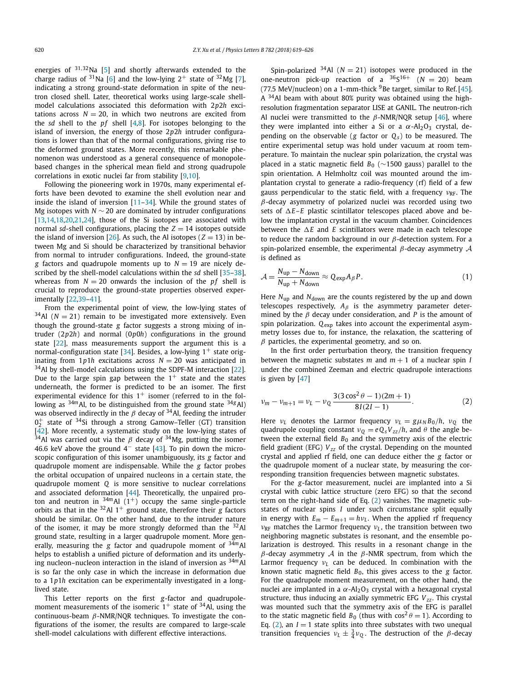energies of <sup>31</sup>*,*32Na [\[5\]](#page-6-0) and shortly afterwards extended to the charge radius of <sup>31</sup>Na [\[6\]](#page-7-0) and the low-lying  $2^+$  state of <sup>32</sup>Mg [\[7\]](#page-7-0), indicating a strong ground-state deformation in spite of the neutron closed shell. Later, theoretical works using large-scale shellmodel calculations associated this deformation with 2*p*2*h* excitations across  $N = 20$ , in which two neutrons are excited from the *sd* shell to the *pf* shell [\[4,8\]](#page-6-0). For isotopes belonging to the island of inversion, the energy of those 2*p*2*h* intruder configurations is lower than that of the normal configurations, giving rise to the deformed ground states. More recently, this remarkable phenomenon was understood as a general consequence of monopolebased changes in the spherical mean field and strong quadrupole correlations in exotic nuclei far from stability [\[9,10\]](#page-7-0).

Following the pioneering work in 1970s, many experimental efforts have been devoted to examine the shell evolution near and inside the island of inversion [\[11–34\]](#page-7-0). While the ground states of Mg isotopes with *N* ∼ 20 are dominated by intruder configurations [\[13,14,18,20,21,24\]](#page-7-0), those of the Si isotopes are associated with normal *sd*-shell configurations, placing the  $Z = 14$  isotopes outside the island of inversion  $[26]$ . As such, the Al isotopes ( $Z = 13$ ) in between Mg and Si should be characterized by transitional behavior from normal to intruder configurations. Indeed, the ground-state *g* factors and quadrupole moments up to  $N = 19$  are nicely described by the shell-model calculations within the *sd* shell [\[35–38\]](#page-7-0), whereas from  $N = 20$  onwards the inclusion of the  $pf$  shell is crucial to reproduce the ground-state properties observed experimentally [\[22,39–41\]](#page-7-0).

From the experimental point of view, the low-lying states of  $34$ Al ( $N = 21$ ) remain to be investigated more extensively. Even though the ground-state *g* factor suggests a strong mixing of intruder (2*p*2*h*) and normal (0*p*0*h*) configurations in the ground state [\[22\]](#page-7-0), mass measurements support the argument this is a normal-configuration state [\[34\]](#page-7-0). Besides, a low-lying  $1^+$  state originating from  $1p1h$  excitations across  $N = 20$  was anticipated in  $34$ Al by shell-model calculations using the SDPF-M interaction [\[22\]](#page-7-0). Due to the large spin gap between the  $1^+$  state and the states underneath, the former is predicted to be an isomer. The first experimental evidence for this  $1^+$  isomer (referred to in the following as  $34m$ Al, to be distinguished from the ground state  $34g$ Al) was observed indirectly in the  $\beta$  decay of <sup>34</sup>Al, feeding the intruder  $0_2^+$  state of <sup>34</sup>Si through a strong Gamow–Teller (GT) transition  $\left[\frac{\tilde{4}2\right]$ . More recently, a systematic study on the low-lying states of <sup>34</sup>Al was carried out via the  $\beta$  decay of <sup>34</sup>Mg, putting the isomer 46.6 keV above the ground  $4^-$  state [\[43\]](#page-7-0). To pin down the microscopic configuration of this isomer unambiguously, its *g* factor and quadrupole moment are indispensable. While the *g* factor probes the orbital occupation of unpaired nucleons in a certain state, the quadrupole moment *Q* is more sensitive to nuclear correlations and associated deformation [\[44\]](#page-7-0). Theoretically, the unpaired proton and neutron in  $34m$ Al (1<sup>+</sup>) occupy the same single-particle orbits as that in the  $32$ Al 1<sup>+</sup> ground state, therefore their *g* factors should be similar. On the other hand, due to the intruder nature of the isomer, it may be more strongly deformed than the  $32$ Al ground state, resulting in a larger quadrupole moment. More generally, measuring the *g* factor and quadrupole moment of <sup>34</sup>*m*Al helps to establish a unified picture of deformation and its underlying nucleon–nucleon interaction in the island of inversion as <sup>34</sup>*m*Al is so far the only case in which the increase in deformation due to a 1*p*1*h* excitation can be experimentally investigated in a longlived state.

This Letter reports on the first *g*-factor and quadrupolemoment measurements of the isomeric  $1^+$  state of  $34$ Al, using the continuous-beam *β*-NMR/NQR techniques. To investigate the configurations of the isomer, the results are compared to large-scale shell-model calculations with different effective interactions.

Spin-polarized  $34$ Al ( $N = 21$ ) isotopes were produced in the one-neutron pick-up reaction of a  $36S^{16+}$  ( $N = 20$ ) beam (77.5 MeV/nucleon) on a 1-mm-thick  $9$ Be target, similar to Ref. [\[45\]](#page-7-0). A  $34$ Al beam with about 80% purity was obtained using the highresolution fragmentation separator LISE at GANIL. The neutron-rich Al nuclei were transmitted to the *β*-NMR/NQR setup [\[46\]](#page-7-0), where they were implanted into either a Si or a  $\alpha$ -Al<sub>2</sub>O<sub>3</sub> crystal, depending on the observable ( $g$  factor or  $Q_s$ ) to be measured. The entire experimental setup was hold under vacuum at room temperature. To maintain the nuclear spin polarization, the crystal was placed in a static magnetic field *B*<sup>0</sup> (∼1500 gauss) parallel to the spin orientation. A Helmholtz coil was mounted around the implantation crystal to generate a radio-frequency (rf) field of a few gauss perpendicular to the static field, with a frequency *ν*RF. The *β*-decay asymmetry of polarized nuclei was recorded using two sets of  $\Delta E$ – $E$  plastic scintillator telescopes placed above and below the implantation crystal in the vacuum chamber. Coincidences between the  $\Delta E$  and  $E$  scintillators were made in each telescope to reduce the random background in our *β*-detection system. For a spin-polarized ensemble, the experimental *β*-decay asymmetry A is defined as

$$
\mathcal{A} = \frac{N_{\rm up} - N_{\rm down}}{N_{\rm up} + N_{\rm down}} \approx Q_{\rm exp} A_{\beta} P.
$$
 (1)

Here *N*<sub>up</sub> and *N*<sub>down</sub> are the counts registered by the up and down telescopes respectively,  $A_\beta$  is the asymmetry parameter determined by the *β* decay under consideration, and *P* is the amount of spin polarization. *Q*exp takes into account the experimental asymmetry losses due to, for instance, the relaxation, the scattering of *β* particles, the experimental geometry, and so on.

In the first order perturbation theory, the transition frequency between the magnetic substates  $m$  and  $m + 1$  of a nuclear spin *I* under the combined Zeeman and electric quadrupole interactions is given by [\[47\]](#page-7-0)

$$
\nu_m - \nu_{m+1} = \nu_L - \nu_Q \frac{3(3\cos^2\theta - 1)(2m + 1)}{8I(2I - 1)}.
$$
 (2)

Here  $v_L$  denotes the Larmor frequency  $v_L = g \mu_N B_0 / h$ ,  $v_0$  the quadrupole coupling constant  $v_0 = eQ_sV_{zz}/h$ , and  $\theta$  the angle between the external field  $B_0$  and the symmetry axis of the electric field gradient (EFG)  $V_{zz}$  of the crystal. Depending on the mounted crystal and applied rf field, one can deduce either the *g* factor or the quadrupole moment of a nuclear state, by measuring the corresponding transition frequencies between magnetic substates.

For the *g*-factor measurement, nuclei are implanted into a Si crystal with cubic lattice structure (zero EFG) so that the second term on the right-hand side of Eq. (2) vanishes. The magnetic substates of nuclear spins *I* under such circumstance split equally in energy with  $E_m - E_{m+1} = h v_L$ . When the applied rf frequency *ν*RF matches the Larmor frequency *ν<sup>L</sup>* , the transition between two neighboring magnetic substates is resonant, and the ensemble polarization is destroyed. This results in a resonant change in the *β*-decay asymmetry A in the *β*-NMR spectrum, from which the Larmor frequency *ν<sup>L</sup>* can be deduced. In combination with the known static magnetic field  $B_0$ , this gives access to the  $g$  factor. For the quadrupole moment measurement, on the other hand, the nuclei are implanted in a  $α$ -Al<sub>2</sub>O<sub>3</sub> crystal with a hexagonal crystal structure, thus inducing an axially symmetric EFG  $V_{zz}$ . This crystal was mounted such that the symmetry axis of the EFG is parallel to the static magnetic field  $B_0$  (thus with  $\cos^2 \theta = 1$ ). According to Eq.  $(2)$ , an  $I = 1$  state splits into three substates with two unequal transition frequencies  $v_L \pm \frac{3}{4} v_Q$ . The destruction of the *β*-decay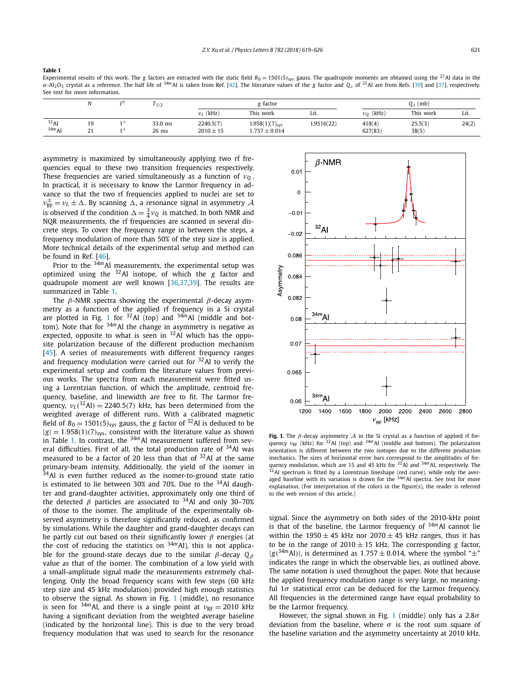<span id="page-3-0"></span>**Table 1**

Experimental results of this work. The *g* factors are extracted with the static field  $B_0 = 1501(5)_{sys}$  gauss. The quadrupole moments are obtained using the <sup>27</sup>Al data in the *α*-Al2O3 crystal as a reference. The half life of <sup>34</sup>*m*Al is taken from Ref. [\[42\]](#page-7-0). The literature values of the *g* factor and *Qs* of 32Al are from Refs. [\[39\]](#page-7-0) and [\[37\]](#page-7-0), respectively. See text for more information.

|                     |                 | 1/2                | ξ factor                   |                                              |            | $Q_s$ (mb)        |                  |       |
|---------------------|-----------------|--------------------|----------------------------|----------------------------------------------|------------|-------------------|------------------|-------|
|                     |                 |                    | $v_I$ (kHz)                | This work                                    | Lit.       | $v_0$ (kHz)       | This work        | Lit.  |
| $32$ Al<br>$34m$ Al | 19<br>21<br>2 I | 33.0 ms<br>$26$ ms | 2240.5(7)<br>$2010 \pm 15$ | $1.958(1)(7)_{\rm sys}$<br>$1.757 \pm 0.014$ | 1.9516(22) | 418(4)<br>627(83) | 25.5(3)<br>38(5) | 24(2) |

asymmetry is maximized by simultaneously applying two rf frequencies equal to these two transition frequencies respectively. These frequencies are varied simultaneously as a function of *ν<sup>Q</sup>* . In practical, it is necessary to know the Larmor frequency in advance so that the two rf frequencies applied to nuclei are set to  $ν_{RF}^{\pm} = ν_L \pm Δ$ . By scanning Δ, a resonance signal in asymmetry *A* is observed if the condition  $\Delta = \frac{3}{4} \nu_Q$  is matched. In both NMR and NQR measurements, the rf frequencies are scanned in several discrete steps. To cover the frequency range in between the steps, a frequency modulation of more than 50% of the step size is applied. More technical details of the experimental setup and method can be found in Ref. [\[46\]](#page-7-0).

Prior to the <sup>34</sup>*m*Al measurements, the experimental setup was optimized using the 32Al isotope, of which the *g* factor and quadrupole moment are well known [\[36,37,39\]](#page-7-0). The results are summarized in Table 1.

The *β*-NMR spectra showing the experimental *β*-decay asymmetry as a function of the applied rf frequency in a Si crystal are plotted in Fig. 1 for 32Al (top) and <sup>34</sup>*m*Al (middle and bottom). Note that for <sup>34</sup>*m*Al the change in asymmetry is negative as expected, opposite to what is seen in  $32$ Al which has the opposite polarization because of the different production mechanism [\[45\]](#page-7-0). A series of measurements with different frequency ranges and frequency modulation were carried out for 32Al to verify the experimental setup and confirm the literature values from previous works. The spectra from each measurement were fitted using a Lorentzian function, of which the amplitude, centroid frequency, baseline, and linewidth are free to fit. The Larmor frequency,  $v_L$  (<sup>32</sup>Al) = 2240.5(7) kHz, has been determined from the weighted average of different runs. With a calibrated magnetic field of  $B_0 = 1501(5)_{sys}$  gauss, the *g* factor of <sup>32</sup>Al is deduced to be  $|g| = 1.958(1)(7)_{sys}$ , consistent with the literature value as shown in Table 1. In contrast, the <sup>34</sup>*m*Al measurement suffered from several difficulties. First of all, the total production rate of <sup>34</sup>Al was measured to be a factor of 20 less than that of  $32$ Al at the same primary-beam intensity. Additionally, the yield of the isomer in  $34$ Al is even further reduced as the isomer-to-ground state ratio is estimated to lie between 30% and 70%. Due to the  $34$ Al daughter and grand-daughter activities, approximately only one third of the detected *β* particles are associated to <sup>34</sup>Al and only 30–70% of those to the isomer. The amplitude of the experimentally observed asymmetry is therefore significantly reduced, as confirmed by simulations. While the daughter and grand-daughter decays can be partly cut out based on their significantly lower *β* energies (at the cost of reducing the statistics on <sup>34</sup>*m*Al), this is not applicable for the ground-state decays due to the similar *β*-decay *Q<sup>β</sup>* value as that of the isomer. The combination of a low yield with a small-amplitude signal made the measurements extremely challenging. Only the broad frequency scans with few steps (60 kHz step size and 45 kHz modulation) provided high enough statistics to observe the signal. As shown in Fig. 1 (middle), no resonance is seen for  $34m$ Al, and there is a single point at  $v_{RF} = 2010$  kHz having a significant deviation from the weighted average baseline (indicated by the horizontal line). This is due to the very broad frequency modulation that was used to search for the resonance



**Fig. 1.** The *β*-decay asymmetry A in the Si crystal as <sup>a</sup> function of applied rf frequency *ν*<sub>RF</sub> (kHz) for <sup>32</sup>Al (top) and <sup>34*m*</sup>Al (middle and bottom). The polarization orientation is different between the two isotopes due to the different production mechanics. The sizes of horizontal error bars correspond to the amplitudes of fre-quency modulation, which are 15 and 45 kHz for 32Al and <sup>34</sup>*m*Al, respectively. The  $32$ Al spectrum is fitted by a Lorentzian lineshape (red curve), while only the averaged baseline with its variation is drawn for the <sup>34*m*</sup>Al spectra. See text for more explanation. (For interpretation of the colors in the figure(s), the reader is referred to the web version of this article.)

signal. Since the asymmetry on both sides of the 2010-kHz point is that of the baseline, the Larmor frequency of <sup>34m</sup>Al cannot lie within the 1950  $\pm$  45 kHz nor 2070  $\pm$  45 kHz ranges, thus it has to be in the range of  $2010 \pm 15$  kHz. The corresponding *g* factor,  $|g^{(34m)}$ Al), is determined as 1.757  $\pm$  0.014, where the symbol " $\pm$ " indicates the range in which the observable lies, as outlined above. The same notation is used throughout the paper. Note that because the applied frequency modulation range is very large, no meaningful 1*σ* statistical error can be deduced for the Larmor frequency. All frequencies in the determined range have equal probability to be the Larmor frequency.

However, the signal shown in Fig. 1 (middle) only has a 2.8*σ* deviation from the baseline, where  $\sigma$  is the root sum square of the baseline variation and the asymmetry uncertainty at 2010 kHz.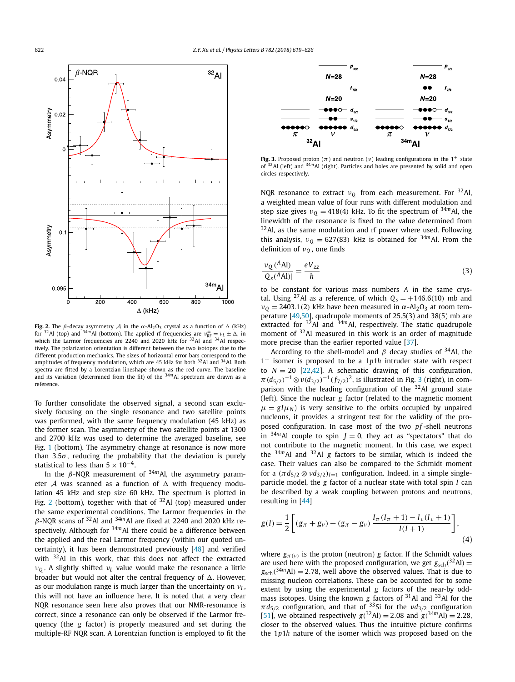

**Fig. 2.** The *β*-decay asymmetry *A* in the *α*-Al<sub>2</sub>O<sub>3</sub> crystal as a function of  $\Delta$  (kHz) for <sup>32</sup>Al (top) and <sup>34*m*</sup>Al (bottom). The applied rf frequencies are *ν*<sub>RF</sub> = *ν*<sub>L</sub> ±  $\Delta$ , in which the Larmor frequencies are 2240 and 2020 kHz for  $32$ Al and  $34$ Al respectively. The polarization orientation is different between the two isotopes due to the different production mechanics. The sizes of horizontal error bars correspond to the amplitudes of frequency modulation, which are 45 kHz for both  $32$ Al and  $34$ Al. Both spectra are fitted by a Lorentzian lineshape shown as the red curve. The baseline and its variation (determined from the fit) of the  $34m$ Al spectrum are drawn as a reference.

To further consolidate the observed signal, a second scan exclusively focusing on the single resonance and two satellite points was performed, with the same frequency modulation (45 kHz) as the former scan. The asymmetry of the two satellite points at 1300 and 2700 kHz was used to determine the averaged baseline, see Fig. [1](#page-3-0) (bottom). The asymmetry change at resonance is now more than  $3.5\sigma$ , reducing the probability that the deviation is purely statistical to less than  $5 \times 10^{-4}$ .

In the *β*-NQR measurement of <sup>34</sup>*m*Al, the asymmetry parameter  $\mathcal A$  was scanned as a function of  $\Delta$  with frequency modulation 45 kHz and step size 60 kHz. The spectrum is plotted in Fig. 2 (bottom), together with that of  $32$ Al (top) measured under the same experimental conditions. The Larmor frequencies in the *β*-NQR scans of 32Al and <sup>34</sup>*m*Al are fixed at 2240 and 2020 kHz respectively. Although for <sup>34</sup>*m*Al there could be a difference between the applied and the real Larmor frequency (within our quoted uncertainty), it has been demonstrated previously [\[48\]](#page-7-0) and verified with <sup>32</sup>Al in this work, that this does not affect the extracted *ν<sup>Q</sup>* . A slightly shifted *ν<sup>L</sup>* value would make the resonance a little broader but would not alter the central frequency of  $\Delta$ . However, as our modulation range is much larger than the uncertainty on *ν<sup>L</sup>* , this will not have an influence here. It is noted that a very clear NQR resonance seen here also proves that our NMR-resonance is correct, since a resonance can only be observed if the Larmor frequency (the *g* factor) is properly measured and set during the multiple-RF NQR scan. A Lorentzian function is employed to fit the



**Fig. 3.** Proposed proton ( $\pi$ ) and neutron ( $\nu$ ) leading configurations in the 1<sup>+</sup> state of <sup>32</sup>Al (left) and <sup>34*m*</sup>Al (right). Particles and holes are presented by solid and open circles respectively.

NQR resonance to extract  $v_0$  from each measurement. For  $32$ Al, a weighted mean value of four runs with different modulation and step size gives  $v_0 = 418(4)$  kHz. To fit the spectrum of <sup>34*m*</sup>Al, the linewidth of the resonance is fixed to the value determined from  $32$ Al, as the same modulation and rf power where used. Following this analysis,  $v_0 = 627(83)$  kHz is obtained for <sup>34*m*</sup>Al. From the definition of *ν<sup>Q</sup>* , one finds

$$
\frac{\nu_{Q}(^{A} \text{Al})}{|Q_{s}(^{A} \text{Al})|} = \frac{eV_{zz}}{h}
$$
 (3)

to be constant for various mass numbers *A* in the same crystal. Using <sup>27</sup>Al as a reference, of which  $Q_s = +146.6(10)$  mb and  $v_0 = 2403.1(2)$  kHz have been measured in  $\alpha$ -Al<sub>2</sub>O<sub>3</sub> at room temperature [\[49,50\]](#page-7-0), quadrupole moments of 25.5(3) and 38(5) mb are extracted for <sup>32</sup>Al and <sup>34*m*</sup>Al, respectively. The static quadrupole moment of 32Al measured in this work is an order of magnitude more precise than the earlier reported value [\[37\]](#page-7-0).

According to the shell-model and  $\beta$  decay studies of <sup>34</sup>Al, the 1+ isomer is proposed to be a 1*p*1*h* intruder state with respect to  $N = 20$  [\[22,42\]](#page-7-0). A schematic drawing of this configuration, *π*( $d_{5/2}$ )<sup>−1</sup> ⊗*ν*( $d_{3/2}$ )<sup>−1</sup>( $f_{7/2}$ )<sup>2</sup>, is illustrated in Fig. 3 (right), in comparison with the leading configuration of the  $32$ Al ground state (left). Since the nuclear *g* factor (related to the magnetic moment  $\mu = g/\mu_N$ ) is very sensitive to the orbits occupied by unpaired nucleons, it provides a stringent test for the validity of the proposed configuration. In case most of the two pf-shell neutrons in  $34m$ Al couple to spin  $J = 0$ , they act as "spectators" that do not contribute to the magnetic moment. In this case, we expect the <sup>34</sup>*m*Al and 32Al *g* factors to be similar, which is indeed the case. Their values can also be compared to the Schmidt moment for a  $(\pi d_{5/2} \otimes \nu d_{3/2})_{I=1}$  configuration. Indeed, in a simple singleparticle model, the *g* factor of a nuclear state with total spin *I* can be described by a weak coupling between protons and neutrons, resulting in [\[44\]](#page-7-0)

$$
g(I) = \frac{1}{2} \left[ (g_{\pi} + g_{\nu}) + (g_{\pi} - g_{\nu}) \frac{I_{\pi}(I_{\pi} + 1) - I_{\nu}(I_{\nu} + 1)}{I(I + 1)} \right],
$$
\n(4)

where  $g_{\pi(\nu)}$  is the proton (neutron) *g* factor. If the Schmidt values are used here with the proposed configuration, we get  $g_{\rm sch}({}^{32}$ Al) =  $g_{\rm sch}(34*m*$ Al) = 2.78, well above the observed values. That is due to missing nucleon correlations. These can be accounted for to some extent by using the experimental *g* factors of the near-by oddmass isotopes. Using the known *g* factors of 31Al and 33Al for the  $\pi d_{5/2}$  configuration, and that of <sup>33</sup>Si for the *νd*<sub>3/2</sub> configuration  $[51]$ , we obtained respectively  $g(^{32}Al) = 2.08$  and  $g(^{34}mAl) = 2.28$ , closer to the observed values. Thus the intuitive picture confirms the 1*p*1*h* nature of the isomer which was proposed based on the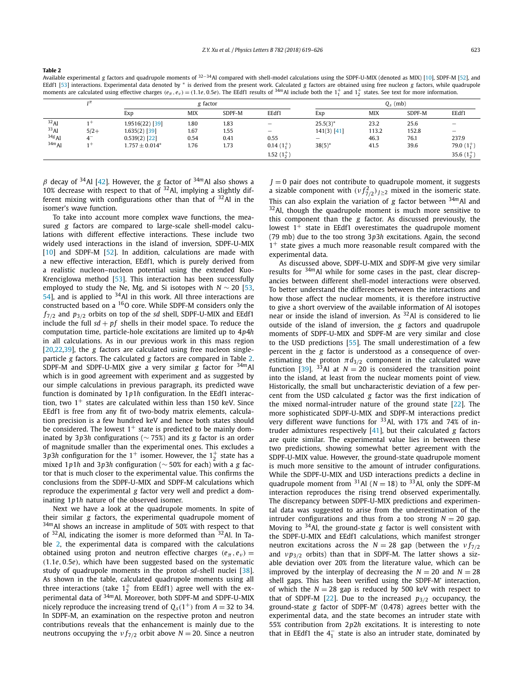**Table 2**

Available experimental *g* factors and quadrupole moments of <sup>32</sup>−34Al compared with shell-model calculations using the SDPF-U-MIX (denoted as MIX) [\[10\]](#page-7-0), SDPF-M [\[52\]](#page-7-0), and EEdf1 [\[53\]](#page-7-0) interactions. Experimental data denoted by ∗ is derived from the present work. Calculated *g* factors are obtained using free nucleon *g* factors, while quadrupole moments are calculated using effective charges  $(e_\pi, e_\nu) = (1.1e, 0.5e)$ . The EEdf1 results of <sup>34m</sup>Al include both the  $1^+_1$  and  $1^+_2$  states. See text for more information.

|                  | $1\pi$ |                    | g factor   |        |                   |                   | $Q_s$ (mb) |        |                |  |
|------------------|--------|--------------------|------------|--------|-------------------|-------------------|------------|--------|----------------|--|
|                  |        | Exp                | <b>MIX</b> | SDPF-M | EEdf1             | Exp               | <b>MIX</b> | SDPF-M | EEdf1          |  |
| $32$ Al          | $^{+}$ | 1.9516(22) [39]    | 1.80       | 1.83   |                   | $25.5(3)^*$       | 23.2       | 25.6   |                |  |
| 33 <sub>Al</sub> | $5/2+$ | $1.635(2)$ [39]    | 1.67       | 1.55   | $\qquad \qquad -$ | $141(3)$ [41]     | 113.2      | 152.8  |                |  |
| $34g$ Al         | $4-$   | $0.539(2)$ [22]    | 0.54       | 0.41   | 0.55              | $\qquad \qquad -$ | 46.3       | 76.1   | 237.9          |  |
| $34m$ Al         | $1+$   | $1.757 \pm 0.014*$ | 1.76       | 1.73   | $0.14(1_1^+)$     | $38(5)$ *         | 41.5       | 39.6   | 79.0 $(1^+_1)$ |  |
|                  |        |                    |            |        | 1.52 $(1^+$       |                   |            |        | 35.6 $(1+)$    |  |

 $β$  decay of <sup>34</sup>Al [\[42\]](#page-7-0). However, the *g* factor of <sup>34*m*</sup>Al also shows a 10% decrease with respect to that of  $32$ Al, implying a slightly different mixing with configurations other than that of  $32$ Al in the isomer's wave function.

To take into account more complex wave functions, the measured *g* factors are compared to large-scale shell-model calculations with different effective interactions. These include two widely used interactions in the island of inversion, SDPF-U-MIX [\[10\]](#page-7-0) and SDPF-M [\[52\]](#page-7-0). In addition, calculations are made with a new effective interaction, EEdf1, which is purely derived from a realistic nucleon–nucleon potential using the extended Kuo-Krenciglowa method [\[53\]](#page-7-0). This interaction has been successfully employed to study the Ne, Mg, and Si isotopes with  $N \sim 20$  [\[53,](#page-7-0)  $54$ ], and is applied to  $34$ Al in this work. All three interactions are constructed based on a <sup>16</sup>O core. While SDPF-M considers only the *f*7*/*<sup>2</sup> and *p*3*/*<sup>2</sup> orbits on top of the *sd* shell, SDPF-U-MIX and EEdf1 include the full  $sd + pf$  shells in their model space. To reduce the computation time, particle-hole excitations are limited up to 4*p*4*h* in all calculations. As in our previous work in this mass region [\[20,22,39\]](#page-7-0), the *g* factors are calculated using free nucleon singleparticle *g* factors. The calculated *g* factors are compared in Table 2. SDPF-M and SDPF-U-MIX give a very similar *g* factor for <sup>34</sup>*m*Al which is in good agreement with experiment and as suggested by our simple calculations in previous paragraph, its predicted wave function is dominated by 1*p*1*h* configuration. In the EEdf1 interaction, two  $1^+$  states are calculated within less than 150 keV. Since EEdf1 is free from any fit of two-body matrix elements, calculation precision is a few hundred keV and hence both states should be considered. The lowest  $1^+$  state is predicted to be mainly dominated by 3*p*3*h* configurations (∼ 75%) and its *g* factor is an order of magnitude smaller than the experimental ones. This excludes a 3*p*3*h* configuration for the 1<sup>+</sup> isomer. However, the  $1^{+}_{2}$  state has a mixed 1*p*1*h* and 3*p*3*h* configuration (∼ 50% for each) with a *g* factor that is much closer to the experimental value. This confirms the conclusions from the SDPF-U-MIX and SDPF-M calculations which reproduce the experimental *g* factor very well and predict a dominating 1*p*1*h* nature of the observed isomer.

Next we have a look at the quadrupole moments. In spite of their similar *g* factors, the experimental quadrupole moment of <sup>34</sup>*m*Al shows an increase in amplitude of 50% with respect to that of 32Al, indicating the isomer is more deformed than 32Al. In Table 2, the experimental data is compared with the calculations obtained using proton and neutron effective charges  $(e_{\pi}, e_{\nu})$  = *(*1*.*1*e,* 0*.*5*e)*, which have been suggested based on the systematic study of quadrupole moments in the proton *sd*-shell nuclei [\[38\]](#page-7-0). As shown in the table, calculated quadrupole moments using all three interactions (take  $1^+_2$  from EEdf1) agree well with the experimental data of <sup>34</sup>*m*Al. Moreover, both SDPF-M and SDPF-U-MIX nicely reproduce the increasing trend of  $Q_s(1^+)$  from  $A = 32$  to 34. In SDPF-M, an examination on the respective proton and neutron contributions reveals that the enhancement is mainly due to the neutrons occupying the  $v f_{7/2}$  orbit above  $N = 20$ . Since a neutron  $J = 0$  pair does not contribute to quadrupole moment, it suggests a sizable component with  $(v f_{7/2}^2)_{J \geq 2}$  mixed in the isomeric state. This can also explain the variation of *g* factor between <sup>34</sup>*m*Al and  $32$ Al, though the quadrupole moment is much more sensitive to this component than the *g* factor. As discussed previously, the lowest  $1^+$  state in EEdf1 overestimates the quadrupole moment (79 mb) due to the too strong 3*p*3*h* excitations. Again, the second  $1^+$  state gives a much more reasonable result compared with the experimental data.

As discussed above, SDPF-U-MIX and SDPF-M give very similar results for <sup>34</sup>*m*Al while for some cases in the past, clear discrepancies between different shell-model interactions were observed. To better understand the differences between the interactions and how those affect the nuclear moments, it is therefore instructive to give a short overview of the available information of Al isotopes near or inside the island of inversion. As  $32$ Al is considered to lie outside of the island of inversion, the *g* factors and quadrupole moments of SDPF-U-MIX and SDPF-M are very similar and close to the USD predictions [\[55\]](#page-8-0). The small underestimation of a few percent in the *g* factor is understood as a consequence of overestimating the proton  $\pi d_{3/2}$  component in the calculated wave function [\[39\]](#page-7-0). <sup>33</sup>Al at  $N = 20$  is considered the transition point into the island, at least from the nuclear moments point of view. Historically, the small but uncharacteristic deviation of a few percent from the USD calculated *g* factor was the first indication of the mixed normal-intruder nature of the ground state [\[22\]](#page-7-0). The more sophisticated SDPF-U-MIX and SDPF-M interactions predict very different wave functions for  $33$ Al, with 17% and 74% of intruder admixtures respectively [\[41\]](#page-7-0), but their calculated *g* factors are quite similar. The experimental value lies in between these two predictions, showing somewhat better agreement with the SDPF-U-MIX value. However, the ground-state quadrupole moment is much more sensitive to the amount of intruder configurations. While the SDPF-U-MIX and USD interactions predicts a decline in quadrupole moment from  $31$ Al ( $N = 18$ ) to  $33$ Al, only the SDPF-M interaction reproduces the rising trend observed experimentally. The discrepancy between SDPF-U-MIX predictions and experimental data was suggested to arise from the underestimation of the intruder configurations and thus from a too strong  $N = 20$  gap. Moving to 34Al, the ground-state *g* factor is well consistent with the SDPF-U-MIX and EEdf1 calculations, which manifest stronger neutron excitations across the  $N = 28$  gap (between the  $\nu f_{7/2}$ and *ν p*<sub>3/2</sub> orbits) than that in SDPF-M. The latter shows a sizable deviation over 20% from the literature value, which can be improved by the interplay of decreasing the  $N = 20$  and  $N = 28$ shell gaps. This has been verified using the SDPF-M' interaction, of which the  $N = 28$  gap is reduced by 500 keV with respect to that of SDPF-M [\[22\]](#page-7-0). Due to the increased *p*3*/*<sup>2</sup> occupancy, the ground-state *g* factor of SDPF-M' (0.478) agrees better with the experimental data, and the state becomes an intruder state with 55% contribution from 2*p*2*h* excitations. It is interesting to note that in EEdf1 the  $4<sub>1</sub><sup>-</sup>$  state is also an intruder state, dominated by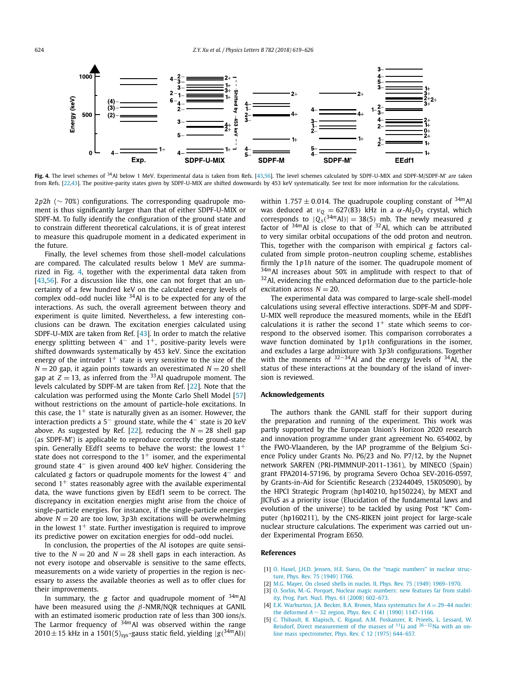<span id="page-6-0"></span>

Fig. 4. The level schemes of <sup>34</sup>Al below 1 MeV. Experimental data is taken from Refs. [\[43,56\]](#page-7-0). The level schemes calculated by SDPF-U-MIX and SDPF-M/SDPF-M' are taken from Refs. [\[22,43\]](#page-7-0). The positive-parity states given by SDPF-U-MIX are shifted downwards by 453 keV systematically. See text for more information for the calculations.

2*p*2*h* (∼ 70%) configurations. The corresponding quadrupole moment is thus significantly larger than that of either SDPF-U-MIX or SDPF-M. To fully identify the configuration of the ground state and to constrain different theoretical calculations, it is of great interest to measure this quadrupole moment in a dedicated experiment in the future.

Finally, the level schemes from those shell-model calculations are compared. The calculated results below 1 MeV are summarized in Fig. 4, together with the experimental data taken from [\[43,56\]](#page-7-0). For a discussion like this, one can not forget that an uncertainty of a few hundred keV on the calculated energy levels of complex odd–odd nuclei like  $34$ Al is to be expected for any of the interactions. As such, the overall agreement between theory and experiment is quite limited. Nevertheless, a few interesting conclusions can be drawn. The excitation energies calculated using SDPF-U-MIX are taken from Ref. [\[43\]](#page-7-0). In order to match the relative energy splitting between  $4^-$  and  $1^+$ , positive-parity levels were shifted downwards systematically by 453 keV. Since the excitation energy of the intruder  $1^+$  state is very sensitive to the size of the  $N = 20$  gap, it again points towards an overestimated  $N = 20$  shell gap at  $Z = 13$ , as inferred from the <sup>33</sup>Al quadrupole moment. The levels calculated by SDPF-M are taken from Ref. [\[22\]](#page-7-0). Note that the calculation was performed using the Monte Carlo Shell Model [\[57\]](#page-8-0) without restrictions on the amount of particle-hole excitations. In this case, the  $1^+$  state is naturally given as an isomer. However, the interaction predicts a 5− ground state, while the 4− state is 20 keV above. As suggested by Ref. [\[22\]](#page-7-0), reducing the  $N = 28$  shell gap (as SDPF-M') is applicable to reproduce correctly the ground-state spin. Generally EEdf1 seems to behave the worst: the lowest  $1^+$ state does not correspond to the  $1^+$  isomer, and the experimental ground state 4− is given around 400 keV higher. Considering the calculated *g* factors or quadrupole moments for the lowest 4− and second  $1^+$  states reasonably agree with the available experimental data, the wave functions given by EEdf1 seem to be correct. The discrepancy in excitation energies might arise from the choice of single-particle energies. For instance, if the single-particle energies above  $N = 20$  are too low, 3p3h excitations will be overwhelming in the lowest  $1^+$  state. Further investigation is required to improve its predictive power on excitation energies for odd–odd nuclei.

In conclusion, the properties of the Al isotopes are quite sensitive to the  $N = 20$  and  $N = 28$  shell gaps in each interaction. As not every isotope and observable is sensitive to the same effects, measurements on a wide variety of properties in the region is necessary to assess the available theories as well as to offer clues for their improvements.

In summary, the *g* factor and quadrupole moment of <sup>34</sup>*m*Al have been measured using the *β*-NMR/NQR techniques at GANIL with an estimated isomeric production rate of less than 300 ions/s. The Larmor frequency of  $34m$ Al was observed within the range  $2010 \pm 15$  kHz in a 1501(5)<sub>sys</sub>-gauss static field, yielding  $|g(34m)$  hll within 1.757  $\pm$  0.014. The quadrupole coupling constant of  $34m$  Al was deduced at  $ν_Q = 627(83)$  kHz in a  $α$ -Al<sub>2</sub>O<sub>3</sub> crystal, which corresponds to  $|Q_s|^{\frac{34m}{4}}$ Al<sub>*)*</sub> = 38(5) mb. The newly measured *g* factor of  $34m$ Al is close to that of  $32$ Al, which can be attributed to very similar orbital occupations of the odd proton and neutron. This, together with the comparison with empirical *g* factors calculated from simple proton–neutron coupling scheme, establishes firmly the 1*p*1*h* nature of the isomer. The quadrupole moment of <sup>34m</sup>Al increases about 50% in amplitude with respect to that of  $32$ Al, evidencing the enhanced deformation due to the particle-hole excitation across  $N = 20$ .

The experimental data was compared to large-scale shell-model calculations using several effective interactions. SDPF-M and SDPF-U-MIX well reproduce the measured moments, while in the EEdf1 calculations it is rather the second  $1^+$  state which seems to correspond to the observed isomer. This comparison corroborates a wave function dominated by 1*p*1*h* configurations in the isomer, and excludes a large admixture with 3*p*3*h* configurations. Together with the moments of  $32-34$ Al and the energy levels of  $34$ Al, the status of these interactions at the boundary of the island of inversion is reviewed.

## **Acknowledgements**

The authors thank the GANIL staff for their support during the preparation and running of the experiment. This work was partly supported by the European Union's Horizon 2020 research and innovation programme under grant agreement No. 654002, by the FWO-Vlaanderen, by the IAP programme of the Belgium Science Policy under Grants No. P6/23 and No. P7/12, by the Nupnet network SARFEN (PRI-PIMMNUP-2011-1361), by MINECO (Spain) grant FPA2014-57196, by programa Severo Ochoa SEV-2016-0597, by Grants-in-Aid for Scientific Research (23244049, 15K05090), by the HPCI Strategic Program (hp140210, hp150224), by MEXT and JICFuS as a priority issue (Elucidation of the fundamental laws and evolution of the universe) to be tackled by using Post "K" Computer (hp160211), by the CNS-RIKEN joint project for large-scale nuclear structure calculations. The experiment was carried out under Experimental Program E650.

### **References**

- [1] O. Haxel, J.H.D. Jensen, H.E. Suess, On the "magic [numbers"](http://refhub.elsevier.com/S0370-2693(18)30457-X/bib7368656C6C2D73747275637475726531s1) in nuclear structure, Phys. Rev. 75 [\(1949\)](http://refhub.elsevier.com/S0370-2693(18)30457-X/bib7368656C6C2D73747275637475726531s1) 1766.
- [2] M.G. Mayer, On closed shells in nuclei. II, Phys. Rev. 75 (1949) [1969–1970.](http://refhub.elsevier.com/S0370-2693(18)30457-X/bib7368656C6C2D73747275637475726532s1)
- [3] O. Sorlin, M.-G. Porquet, Nuclear magic [numbers:](http://refhub.elsevier.com/S0370-2693(18)30457-X/bib7368656C6C2D726576696577s1) new features far from stability, Prog. Part. Nucl. Phys. 61 (2008) [602–673.](http://refhub.elsevier.com/S0370-2693(18)30457-X/bib7368656C6C2D726576696577s1)
- E.K. Warburton, J.A. Becker, B.A. Brown, Mass systematics for  $A = 29-44$  nuclei: the deformed *A* ∼ 32 region, Phys. Rev. C 41 (1990) [1147–1166.](http://refhub.elsevier.com/S0370-2693(18)30457-X/bib696F692D636F6E63657074s1)
- [5] C. Thibault, R. Klapisch, C. Rigaud, A.M. [Poskanzer,](http://refhub.elsevier.com/S0370-2693(18)30457-X/bib6E612D6D617373s1) R. Prieels, L. Lessard, W. Reisdorf, Direct [measurement](http://refhub.elsevier.com/S0370-2693(18)30457-X/bib6E612D6D617373s1) of the masses of <sup>11</sup>Li and <sup>26−32</sup>Na with an online mass [spectrometer,](http://refhub.elsevier.com/S0370-2693(18)30457-X/bib6E612D6D617373s1) Phys. Rev. C 12 (1975) 644–657.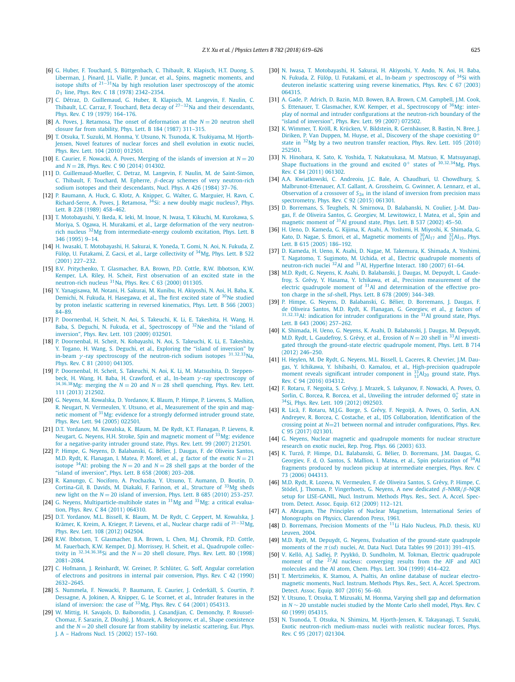- <span id="page-7-0"></span>[6] G. Huber, F. Touchard, S. [Büttgenbach,](http://refhub.elsevier.com/S0370-2693(18)30457-X/bib6E612D726164697573s1) C. Thibault, R. Klapisch, H.T. Duong, S. [Liberman,](http://refhub.elsevier.com/S0370-2693(18)30457-X/bib6E612D726164697573s1) J. Pinard, J.L. Vialle, P. Juncar, et al., Spins, magnetic moments, and isotope shifts of <sup>21</sup>−31Na by high resolution laser [spectroscopy](http://refhub.elsevier.com/S0370-2693(18)30457-X/bib6E612D726164697573s1) of the atomic *D*<sup>1</sup> line, Phys. Rev. C 18 (1978) [2342–2354.](http://refhub.elsevier.com/S0370-2693(18)30457-X/bib6E612D726164697573s1)
- [7] C. Détraz, D. [Guillemaud,](http://refhub.elsevier.com/S0370-2693(18)30457-X/bib6D6733322D6532s1) G. Huber, R. Klapisch, M. Langevin, F. Naulin, C. Thibault, L.C. Carraz, F. Touchard, Beta decay of <sup>27</sup>−32Na and their [descendants,](http://refhub.elsevier.com/S0370-2693(18)30457-X/bib6D6733322D6532s1) Phys. Rev. C 19 (1979) [164–176.](http://refhub.elsevier.com/S0370-2693(18)30457-X/bib6D6733322D6532s1)
- [8] A. Poves, J. Retamosa, The onset of [deformation](http://refhub.elsevier.com/S0370-2693(18)30457-X/bib696F692D636F6E6365707432s1) at the *N* = 20 neutron shell closure far from stability, Phys. Lett. B 184 (1987) [311–315.](http://refhub.elsevier.com/S0370-2693(18)30457-X/bib696F692D636F6E6365707432s1)
- [9] T. Otsuka, T. Suzuki, M. Honma, Y. Utsuno, N. Tsunoda, K. [Tsukiyama,](http://refhub.elsevier.com/S0370-2693(18)30457-X/bib6F7473756B612D74656E736F72s1) M. Hjorth-Jensen, Novel features of nuclear forces and shell [evolution](http://refhub.elsevier.com/S0370-2693(18)30457-X/bib6F7473756B612D74656E736F72s1) in exotic nuclei, Phys. Rev. Lett. 104 (2010) [012501.](http://refhub.elsevier.com/S0370-2693(18)30457-X/bib6F7473756B612D74656E736F72s1)
- [10] E. Caurier, F. Nowacki, A. Poves, Merging of the islands of [inversion](http://refhub.elsevier.com/S0370-2693(18)30457-X/bib6D6978s1) at  $N = 20$ and *N* = 28, Phys. Rev. C 90 (2014) [014302.](http://refhub.elsevier.com/S0370-2693(18)30457-X/bib6D6978s1)
- [11] D. [Guillemaud-Mueller,](http://refhub.elsevier.com/S0370-2693(18)30457-X/bib696F692D72656631s1) C. Detraz, M. Langevin, F. Naulin, M. de Saint-Simon, C. Thibault, F. Touchard, M. Epherre, *β*-decay schemes of very [neutron-rich](http://refhub.elsevier.com/S0370-2693(18)30457-X/bib696F692D72656631s1) sodium isotopes and their [descendants,](http://refhub.elsevier.com/S0370-2693(18)30457-X/bib696F692D72656631s1) Nucl. Phys. A 426 (1984) 37–76.
- [12] P. [Baumann,](http://refhub.elsevier.com/S0370-2693(18)30457-X/bib696F692D72656632s1) A. Huck, G. Klotz, A. Knipper, G. Walter, G. Marguier, H. Ravn, C. [Richard-Serre,](http://refhub.elsevier.com/S0370-2693(18)30457-X/bib696F692D72656632s1) A. Poves, J. Retamosa,  $34$ Si: a new doubly magic nucleus?, Phys. Lett. B 228 (1989) [458–462.](http://refhub.elsevier.com/S0370-2693(18)30457-X/bib696F692D72656632s1)
- [13] T. [Motobayashi,](http://refhub.elsevier.com/S0370-2693(18)30457-X/bib696F692D72656633s1) Y. Ikeda, K. Ieki, M. Inoue, N. Iwasa, T. Kikuchi, M. Kurokawa, S. Moriya, S. Ogawa, H. Murakami, et al., Large [deformation](http://refhub.elsevier.com/S0370-2693(18)30457-X/bib696F692D72656633s1) of the very neutronrich nucleus 32Mg from [intermediate-energy](http://refhub.elsevier.com/S0370-2693(18)30457-X/bib696F692D72656633s1) coulomb excitation, Phys. Lett. B 346 [\(1995\)](http://refhub.elsevier.com/S0370-2693(18)30457-X/bib696F692D72656633s1) 9–14.
- [14] H. Iwasaki, T. [Motobayashi,](http://refhub.elsevier.com/S0370-2693(18)30457-X/bib696F692D72656634s1) H. Sakurai, K. Yoneda, T. Gomi, N. Aoi, N. Fukuda, Z. Fülöp, U. Futakami, Z. Gacsi, et al., Large [collectivity](http://refhub.elsevier.com/S0370-2693(18)30457-X/bib696F692D72656634s1) of <sup>34</sup>Mg, Phys. Lett. B 522 (2001) [227–232.](http://refhub.elsevier.com/S0370-2693(18)30457-X/bib696F692D72656634s1)
- [15] B.V. [Pritychenko,](http://refhub.elsevier.com/S0370-2693(18)30457-X/bib696F692D72656635s1) T. Glasmacher, B.A. Brown, P.D. Cottle, R.W. Ibbotson, K.W. Kemper, L.A. Riley, H. Scheit, First [observation](http://refhub.elsevier.com/S0370-2693(18)30457-X/bib696F692D72656635s1) of an excited state in the [neutron-rich](http://refhub.elsevier.com/S0370-2693(18)30457-X/bib696F692D72656635s1) nucleus 31Na, Phys. Rev. C 63 (2000) 011305.
- [16] Y. [Yanagisawa,](http://refhub.elsevier.com/S0370-2693(18)30457-X/bib696F692D72656636s1) M. Notani, H. Sakurai, M. Kunibu, H. Akiyoshi, N. Aoi, H. Baba, K. Demichi, N. Fukuda, H. Hasegawa, et al., The first excited state of <sup>30</sup>Ne studied by proton inelastic scattering in reversed [kinematics,](http://refhub.elsevier.com/S0370-2693(18)30457-X/bib696F692D72656636s1) Phys. Lett. B 566 (2003) [84–89.](http://refhub.elsevier.com/S0370-2693(18)30457-X/bib696F692D72656636s1)
- [17] P. [Doornenbal,](http://refhub.elsevier.com/S0370-2693(18)30457-X/bib696F692D72656637s1) H. Scheit, N. Aoi, S. Takeuchi, K. Li, E. Takeshita, H. Wang, H. Baba, S. Deguchi, N. Fukuda, et al., [Spectroscopy](http://refhub.elsevier.com/S0370-2693(18)30457-X/bib696F692D72656637s1) of <sup>32</sup>Ne and the "island of [inversion",](http://refhub.elsevier.com/S0370-2693(18)30457-X/bib696F692D72656637s1) Phys. Rev. Lett. 103 (2009) 032501.
- [18] P. [Doornenbal,](http://refhub.elsevier.com/S0370-2693(18)30457-X/bib696F692D72656638s1) H. Scheit, N. Kobayashi, N. Aoi, S. Takeuchi, K. Li, E. Takeshita, Y. Togano, H. Wang, S. Deguchi, et al., Exploring the "island of [inversion"](http://refhub.elsevier.com/S0370-2693(18)30457-X/bib696F692D72656638s1) by in-beam *γ* -ray [spectroscopy](http://refhub.elsevier.com/S0370-2693(18)30457-X/bib696F692D72656638s1) of the neutron-rich sodium isotopes <sup>31</sup>*,*32*,*33Na, Phys. Rev. C 81 (2010) [041305.](http://refhub.elsevier.com/S0370-2693(18)30457-X/bib696F692D72656638s1)
- [19] P. [Doornenbal,](http://refhub.elsevier.com/S0370-2693(18)30457-X/bib696F692D72656639s1) H. Scheit, S. Takeuchi, N. Aoi, K. Li, M. Matsushita, D. Steppenbeck, H. Wang, H. Baba, H. Crawford, et al., In-beam *γ* -ray [spectroscopy](http://refhub.elsevier.com/S0370-2693(18)30457-X/bib696F692D72656639s1) of  $34,36,38$  Mg: merging the  $N = 20$  and  $N = 28$  shell [quenching,](http://refhub.elsevier.com/S0370-2693(18)30457-X/bib696F692D72656639s1) Phys. Rev. Lett. 111 (2013) [212502.](http://refhub.elsevier.com/S0370-2693(18)30457-X/bib696F692D72656639s1)
- [20] G. Neyens, M. [Kowalska,](http://refhub.elsevier.com/S0370-2693(18)30457-X/bib696F692D7265663130s1) D. Yordanov, K. Blaum, P. Himpe, P. Lievens, S. Mallion, R. Neugart, N. Vermeulen, Y. Utsuno, et al., [Measurement](http://refhub.elsevier.com/S0370-2693(18)30457-X/bib696F692D7265663130s1) of the spin and magnetic moment of <sup>31</sup>Mg: evidence for a strongly [deformed](http://refhub.elsevier.com/S0370-2693(18)30457-X/bib696F692D7265663130s1) intruder ground state, Phys. Rev. Lett. 94 (2005) [022501.](http://refhub.elsevier.com/S0370-2693(18)30457-X/bib696F692D7265663130s1)
- [21] D.T. Yordanov, M. [Kowalska,](http://refhub.elsevier.com/S0370-2693(18)30457-X/bib696F692D7265663131s1) K. Blaum, M. De Rydt, K.T. Flanagan, P. Lievens, R. Neugart, G. Neyens, H.H. Stroke, Spin and [magnetic](http://refhub.elsevier.com/S0370-2693(18)30457-X/bib696F692D7265663131s1) moment of <sup>33</sup>Mg: evidence for a [negative-parity](http://refhub.elsevier.com/S0370-2693(18)30457-X/bib696F692D7265663131s1) intruder ground state, Phys. Rev. Lett. 99 (2007) 212501.
- [22] P. Himpe, G. Neyens, D. [Balabanski,](http://refhub.elsevier.com/S0370-2693(18)30457-X/bib696F692D7265663132s1) G. Bélier, J. Daugas, F. de Oliveira Santos, M.D. Rydt, K. [Flanagan,](http://refhub.elsevier.com/S0370-2693(18)30457-X/bib696F692D7265663132s1) I. Matea, P. Morel, et al., *g* factor of the exotic *N* = 21 isotope <sup>34</sup>Al: probing the  $N = 20$  and  $N = 28$  shell gaps at the border of the "island of [inversion",](http://refhub.elsevier.com/S0370-2693(18)30457-X/bib696F692D7265663132s1) Phys. Lett. B 658 (2008) 203–208.
- [23] R. Kanungo, C. Nociforo, A. [Prochazka,](http://refhub.elsevier.com/S0370-2693(18)30457-X/bib696F692D7265663133s1) Y. Utsuno, T. Aumann, D. Boutin, D. Cortina-Gil, B. Davids, M. Diakaki, F. Farinon, et al., Structure of [33Mg sheds](http://refhub.elsevier.com/S0370-2693(18)30457-X/bib696F692D7265663133s1) new light on the  $N = 20$  island of [inversion,](http://refhub.elsevier.com/S0370-2693(18)30457-X/bib696F692D7265663133s1) Phys. Lett. B 685 (2010) 253-257.
- [24] G. Neyens, [Multiparticle-multihole](http://refhub.elsevier.com/S0370-2693(18)30457-X/bib696F692D7265663134s1) states in  $31$ Mg and  $33$ Mg: a critical evaluation, Phys. Rev. C 84 (2011) [064310.](http://refhub.elsevier.com/S0370-2693(18)30457-X/bib696F692D7265663134s1)
- [25] D.T. Yordanov, M.L. Bissell, K. Blaum, M. De Rydt, C. Geppert, M. [Kowalska,](http://refhub.elsevier.com/S0370-2693(18)30457-X/bib696F692D7265663135s1) J. Krämer, K. Kreim, A. Krieger, P. [Lievens,](http://refhub.elsevier.com/S0370-2693(18)30457-X/bib696F692D7265663135s1) et al., Nuclear charge radii of <sup>21</sup>−32Mg, Phys. Rev. Lett. 108 (2012) [042504.](http://refhub.elsevier.com/S0370-2693(18)30457-X/bib696F692D7265663135s1)
- [26] R.W. Ibbotson, T. [Glasmacher,](http://refhub.elsevier.com/S0370-2693(18)30457-X/bib696F692D7265663137s1) B.A. Brown, L. Chen, M.J. Chromik, P.D. Cottle, M. Fauerbach, K.W. Kemper, D.J. Morrissey, H. Scheit, et al., [Quadrupole](http://refhub.elsevier.com/S0370-2693(18)30457-X/bib696F692D7265663137s1) collectivity in  $32,34,36,38$ Si and the  $N = 20$  shell closure, Phys. Rev. Lett. 80 (1998) [2081–2084.](http://refhub.elsevier.com/S0370-2693(18)30457-X/bib696F692D7265663137s1)
- [27] C. Hofmann, J. Reinhardt, W. Greiner, P. Schlüter, G. Soff, Angular [correlation](http://refhub.elsevier.com/S0370-2693(18)30457-X/bib696F692D7265663138s1) of electrons and positrons in internal pair [conversion,](http://refhub.elsevier.com/S0370-2693(18)30457-X/bib696F692D7265663138s1) Phys. Rev. C 42 (1990) [2632–2645.](http://refhub.elsevier.com/S0370-2693(18)30457-X/bib696F692D7265663138s1)
- [28] S. [Nummela,](http://refhub.elsevier.com/S0370-2693(18)30457-X/bib696F692D7265663139s1) F. Nowacki, P. Baumann, E. Caurier, J. Cederkäll, S. Courtin, P. [Dessagne,](http://refhub.elsevier.com/S0370-2693(18)30457-X/bib696F692D7265663139s1) A. Jokinen, A. Knipper, G. Le Scornet, et al., Intruder features in the island of [inversion:](http://refhub.elsevier.com/S0370-2693(18)30457-X/bib696F692D7265663139s1) the case of  $33$  Mg, Phys. Rev. C 64 (2001) 054313.
- [29] W. Mittig, H. Savajols, D. [Baiborodin,](http://refhub.elsevier.com/S0370-2693(18)30457-X/bib696F692D7265663230s1) J. Casandjian, C. Demonchy, P. Roussel-Chomaz, F. Sarazin, Z. Dlouhý, J. Mrazek, A. Belozyorov, et al., Shape [coexistence](http://refhub.elsevier.com/S0370-2693(18)30457-X/bib696F692D7265663230s1) and the  $N = 20$  shell closure far from stability by inelastic [scattering,](http://refhub.elsevier.com/S0370-2693(18)30457-X/bib696F692D7265663230s1) Eur. Phys. J. A – Hadrons Nucl. 15 (2002) [157–160.](http://refhub.elsevier.com/S0370-2693(18)30457-X/bib696F692D7265663230s1)
- [30] N. Iwasa, T. [Motobayashi,](http://refhub.elsevier.com/S0370-2693(18)30457-X/bib696F692D7265663231s1) H. Sakurai, H. Akiyoshi, Y. Ando, N. Aoi, H. Baba, N. Fukuda, Z. Fülöp, U. Futakami, et al., In-beam *γ* [spectroscopy](http://refhub.elsevier.com/S0370-2693(18)30457-X/bib696F692D7265663231s1) of 34Si with deuteron inelastic scattering using reverse [kinematics,](http://refhub.elsevier.com/S0370-2693(18)30457-X/bib696F692D7265663231s1) Phys. Rev. C 67 (2003) [064315.](http://refhub.elsevier.com/S0370-2693(18)30457-X/bib696F692D7265663231s1)
- [31] A. Gade, P. Adrich, D. Bazin, M.D. Bowen, B.A. Brown, C.M. [Campbell,](http://refhub.elsevier.com/S0370-2693(18)30457-X/bib696F692D7265663232s1) J.M. Cook, S. Ettenauer, T. Glasmacher, K.W. Kemper, et al., [Spectroscopy](http://refhub.elsevier.com/S0370-2693(18)30457-X/bib696F692D7265663232s1) of <sup>36</sup>Mg: interplay of normal and intruder [configurations](http://refhub.elsevier.com/S0370-2693(18)30457-X/bib696F692D7265663232s1) at the neutron-rich boundary of the "island of [inversion",](http://refhub.elsevier.com/S0370-2693(18)30457-X/bib696F692D7265663232s1) Phys. Rev. Lett. 99 (2007) 072502.
- [32] K. Wimmer, T. Kröll, R. Krücken, V. Bildstein, R. [Gernhäuser,](http://refhub.elsevier.com/S0370-2693(18)30457-X/bib696F692D7265663233s1) B. Bastin, N. Bree, J. Diriken, P. Van Duppen, M. Huyse, et al., Discovery of the shape [coexisting](http://refhub.elsevier.com/S0370-2693(18)30457-X/bib696F692D7265663233s1) 0+ state in [32Mg by](http://refhub.elsevier.com/S0370-2693(18)30457-X/bib696F692D7265663233s1) a two neutron transfer reaction, Phys. Rev. Lett. 105 (2010) [252501.](http://refhub.elsevier.com/S0370-2693(18)30457-X/bib696F692D7265663233s1)
- [33] N. Hinohara, K. Sato, K. Yoshida, T. Nakatsukasa, M. Matsuo, K. [Matsuyanagi,](http://refhub.elsevier.com/S0370-2693(18)30457-X/bib696F692D7265663234s1) Shape [fluctuations](http://refhub.elsevier.com/S0370-2693(18)30457-X/bib696F692D7265663234s1) in the ground and excited 0<sup>+</sup> states of <sup>30,32,34</sup>Mg, Phys. Rev. C 84 (2011) [061302.](http://refhub.elsevier.com/S0370-2693(18)30457-X/bib696F692D7265663234s1)
- [34] A.A. [Kwiatkowski,](http://refhub.elsevier.com/S0370-2693(18)30457-X/bib696F692D7265663235s1) C. Andreoiu, J.C. Bale, A. Chaudhuri, U. Chowdhury, S. [Malbrunot-Ettenauer,](http://refhub.elsevier.com/S0370-2693(18)30457-X/bib696F692D7265663235s1) A.T. Gallant, A. Grossheim, G. Gwinner, A. Lennarz, et al., [Observation](http://refhub.elsevier.com/S0370-2693(18)30457-X/bib696F692D7265663235s1) of a crossover of  $S_{2n}$  in the island of inversion from precision mass [spectrometry,](http://refhub.elsevier.com/S0370-2693(18)30457-X/bib696F692D7265663235s1) Phys. Rev. C 92 (2015) 061301.
- [35] D. [Borremans,](http://refhub.elsevier.com/S0370-2693(18)30457-X/bib3331616C2D67s1) S. Teughels, N. Smirnova, D. Balabanski, N. Coulier, J.-M. Daugas, F. de Oliveira Santos, G. Georgiev, M. [Lewitowicz,](http://refhub.elsevier.com/S0370-2693(18)30457-X/bib3331616C2D67s1) I. Matea, et al., Spin and magnetic moment of <sup>31</sup>Al ground state, Phys. Lett. B 537 (2002) 45-50.
- [36] H. Ueno, D. Kameda, G. Kijima, K. Asahi, A. Yoshimi, H. Miyoshi, K. [Shimada,](http://refhub.elsevier.com/S0370-2693(18)30457-X/bib33302D3332616C2D67s1) G. Kato, D. Nagae, S. Emori, et al., Magnetic [moments](http://refhub.elsevier.com/S0370-2693(18)30457-X/bib33302D3332616C2D67s1) of  $^{30}_{13}$ Al<sub>17</sub> and  $^{32}_{13}$ Al<sub>19</sub>, Phys. Lett. B 615 (2005) [186–192.](http://refhub.elsevier.com/S0370-2693(18)30457-X/bib33302D3332616C2D67s1)
- [37] D. Kameda, H. Ueno, K. Asahi, D. Nagae, M. [Takemura,](http://refhub.elsevier.com/S0370-2693(18)30457-X/bib33312D3332616C2D71s1) K. Shimada, A. Yoshimi, T. Nagatomo, T. Sugimoto, M. Uchida, et al., Electric [quadrupole](http://refhub.elsevier.com/S0370-2693(18)30457-X/bib33312D3332616C2D71s1) moments of [neutron-rich](http://refhub.elsevier.com/S0370-2693(18)30457-X/bib33312D3332616C2D71s1) nuclei 32Al and 31Al, Hyperfine Interact. 180 (2007) 61–64.
- [38] M.D. Rydt, G. Neyens, K. Asahi, D. [Balabanski,](http://refhub.elsevier.com/S0370-2693(18)30457-X/bib3331616C2D712D32s1) J. Daugas, M. Depuydt, L. Gaudefroy, S. Grévy, Y. Hasama, Y. Ichikawa, et al., Precision [measurement](http://refhub.elsevier.com/S0370-2693(18)30457-X/bib3331616C2D712D32s1) of the electric quadrupole moment of <sup>31</sup>Al and [determination](http://refhub.elsevier.com/S0370-2693(18)30457-X/bib3331616C2D712D32s1) of the effective proton charge in the *sd*-shell, Phys. Lett. B 678 (2009) [344–349.](http://refhub.elsevier.com/S0370-2693(18)30457-X/bib3331616C2D712D32s1)
- [39] P. Himpe, G. Neyens, D. Balabanski, G. Bélier, D. [Borremans,](http://refhub.elsevier.com/S0370-2693(18)30457-X/bib3333616C2D67s1) J. Daugas, F. de Oliveira Santos, M.D. Rydt, K. [Flanagan,](http://refhub.elsevier.com/S0370-2693(18)30457-X/bib3333616C2D67s1) G. Georgiev, et al., *g* factors of <sup>31</sup>*,*32*,*33Al: indication for intruder configurations in the [33Al](http://refhub.elsevier.com/S0370-2693(18)30457-X/bib3333616C2D67s1) [ground](http://refhub.elsevier.com/S0370-2693(18)30457-X/bib3333616C2D67s1) state, Phys. Lett. B 643 (2006) [257–262.](http://refhub.elsevier.com/S0370-2693(18)30457-X/bib3333616C2D67s1)
- [40] K. Shimada, H. Ueno, G. Neyens, K. Asahi, D. [Balabanski,](http://refhub.elsevier.com/S0370-2693(18)30457-X/bib3333616C2D71s1) J. Daugas, M. Depuydt, M.D. Rydt, L. Gaudefroy, S. Grévy, et al., Erosion of  $N = 20$  shell in <sup>33</sup>Al investigated through the [ground-state](http://refhub.elsevier.com/S0370-2693(18)30457-X/bib3333616C2D71s1) electric quadrupole moment, Phys. Lett. B 714 (2012) [246–250.](http://refhub.elsevier.com/S0370-2693(18)30457-X/bib3333616C2D71s1)
- [41] H. Heylen, M. De Rydt, G. Neyens, M.L. Bissell, L. Caceres, R. [Chevrier,](http://refhub.elsevier.com/S0370-2693(18)30457-X/bib3333616C2D712D32s1) J.M. Daugas, Y. Ichikawa, Y. Ishibashi, O. Kamalou, et al., [High-precision](http://refhub.elsevier.com/S0370-2693(18)30457-X/bib3333616C2D712D32s1) quadrupole moment reveals significant intruder [component](http://refhub.elsevier.com/S0370-2693(18)30457-X/bib3333616C2D712D32s1) in  $^{33}_{13}$ Al<sub>20</sub> ground state, Phys. Rev. C 94 (2016) [034312.](http://refhub.elsevier.com/S0370-2693(18)30457-X/bib3333616C2D712D32s1)
- [42] F. Rotaru, F. Negoita, S. Grévy, J. Mrazek, S. [Lukyanov,](http://refhub.elsevier.com/S0370-2693(18)30457-X/bib3334616C2D69736F6D6572s1) F. Nowacki, A. Poves, O. Sorlin, C. Borcea, R. Borcea, et al., Unveiling the intruder [deformed](http://refhub.elsevier.com/S0370-2693(18)30457-X/bib3334616C2D69736F6D6572s1)  $0^+_2$  state in  $^{34}$ Si, Phys. Rev. Lett. 109 (2012) [092503.](http://refhub.elsevier.com/S0370-2693(18)30457-X/bib3334616C2D69736F6D6572s1)
- [43] R. Lică, F. Rotaru, M.J.G. Borge, S. Grévy, F. Negoiță, A. Poves, O. Sorlin, A.N. Andreyev, R. Borcea, C. Costache, et al., IDS [Collaboration,](http://refhub.elsevier.com/S0370-2693(18)30457-X/bib3334616C2D737065637472756Ds1) Identification of the crossing point at *N*=21 between normal and intruder [configurations,](http://refhub.elsevier.com/S0370-2693(18)30457-X/bib3334616C2D737065637472756Ds1) Phys. Rev. C 95 (2017) [021301.](http://refhub.elsevier.com/S0370-2693(18)30457-X/bib3334616C2D737065637472756Ds1)
- [44] G. Neyens, Nuclear magnetic and [quadrupole](http://refhub.elsevier.com/S0370-2693(18)30457-X/bib67657264612D726576696577s1) moments for nuclear structure [research](http://refhub.elsevier.com/S0370-2693(18)30457-X/bib67657264612D726576696577s1) on exotic nuclei, Rep. Prog. Phys. 66 (2003) 633.
- [45] K. Turzó, P. Himpe, D.L. Balabanski, G. Bélier, D. [Borremans,](http://refhub.elsevier.com/S0370-2693(18)30457-X/bib706F6C61722D6D656368616Es1) J.M. Daugas, G. Georgiev, F. d, O. Santos, S. Mallion, I. Matea, et al., Spin [polarization](http://refhub.elsevier.com/S0370-2693(18)30457-X/bib706F6C61722D6D656368616Es1) of 34Al fragments produced by nucleon pickup at [intermediate](http://refhub.elsevier.com/S0370-2693(18)30457-X/bib706F6C61722D6D656368616Es1) energies, Phys. Rev. C 73 (2006) [044313.](http://refhub.elsevier.com/S0370-2693(18)30457-X/bib706F6C61722D6D656368616Es1)
- [46] M.D. Rydt, R. Lozeva, N. [Vermeulen,](http://refhub.elsevier.com/S0370-2693(18)30457-X/bib6E6D722D7365747570s1) F. de Oliveira Santos, S. Grévy, P. Himpe, C. Stödel, J. Thomas, P. [Vingerhoets,](http://refhub.elsevier.com/S0370-2693(18)30457-X/bib6E6D722D7365747570s1) G. Neyens, A new dedicated *β*-NMR*/β*-NQR setup for [LISE-GANIL,](http://refhub.elsevier.com/S0370-2693(18)30457-X/bib6E6D722D7365747570s1) Nucl. Instrum. Methods Phys. Res., Sect. A, Accel. Spectrom. Detect. Assoc. Equip. 612 (2009) [112–121.](http://refhub.elsevier.com/S0370-2693(18)30457-X/bib6E6D722D7365747570s1)
- [47] A. Abragam, The Principles of Nuclear Magnetism, [International](http://refhub.elsevier.com/S0370-2693(18)30457-X/bib73706C697474696E674Es1) Series of [Monographs](http://refhub.elsevier.com/S0370-2693(18)30457-X/bib73706C697474696E674Es1) on Physics, Clarendon Press, 1961.
- [48] D. [Borremans,](http://refhub.elsevier.com/S0370-2693(18)30457-X/bib6E71722D73686966742D6C6Ds1) Precision Moments of the  $<sup>11</sup>$ Li Halo Nucleus, Ph.D. thesis, KU</sup> [Leuven,](http://refhub.elsevier.com/S0370-2693(18)30457-X/bib6E71722D73686966742D6C6Ds1) 2004.
- [49] M.D. Rydt, M. Depuydt, G. Neyens, Evaluation of the [ground-state](http://refhub.elsevier.com/S0370-2693(18)30457-X/bib3237616C2D712D31s1) quadrupole [moments](http://refhub.elsevier.com/S0370-2693(18)30457-X/bib3237616C2D712D31s1) of the *π(sd)* nuclei, At. Data Nucl. Data Tables 99 (2013) 391–415.
- [50] V. Kellö, A.J. Sadlej, P. Pyykkö, D. Sundholm, M. Tokman, Electric [quadrupole](http://refhub.elsevier.com/S0370-2693(18)30457-X/bib3237616C2D712D32s1) moment of the <sup>27</sup>Al nucleus: converging results from the AlF and AlCl [molecules](http://refhub.elsevier.com/S0370-2693(18)30457-X/bib3237616C2D712D32s1) and the Al atom, Chem. Phys. Lett. 304 (1999) 414–422.
- [51] T. [Mertzimekis,](http://refhub.elsevier.com/S0370-2693(18)30457-X/bib6E6E6463s1) K. Stamou, A. Psaltis, An online database of nuclear electromagnetic moments, Nucl. Instrum. Methods Phys. Res., Sect. A, Accel. [Spectrom.](http://refhub.elsevier.com/S0370-2693(18)30457-X/bib6E6E6463s1) [Detect.](http://refhub.elsevier.com/S0370-2693(18)30457-X/bib6E6E6463s1) Assoc. Equip. 807 (2016) 56–60.
- [52] Y. Utsuno, T. Otsuka, T. Mizusaki, M. Honma, Varying shell gap and [deformation](http://refhub.elsevier.com/S0370-2693(18)30457-X/bib736470666Ds1) in *N* ∼ [20 unstable](http://refhub.elsevier.com/S0370-2693(18)30457-X/bib736470666Ds1) nuclei studied by the Monte Carlo shell model, Phys. Rev. C 60 (1999) [054315.](http://refhub.elsevier.com/S0370-2693(18)30457-X/bib736470666Ds1)
- [53] N. Tsunoda, T. Otsuka, N. Shimizu, M. [Hjorth-Jensen,](http://refhub.elsevier.com/S0370-2693(18)30457-X/bib656B6B32s1) K. Takayanagi, T. Suzuki, Exotic neutron-rich [medium-mass](http://refhub.elsevier.com/S0370-2693(18)30457-X/bib656B6B32s1) nuclei with realistic nuclear forces, Phys. Rev. C 95 (2017) [021304.](http://refhub.elsevier.com/S0370-2693(18)30457-X/bib656B6B32s1)